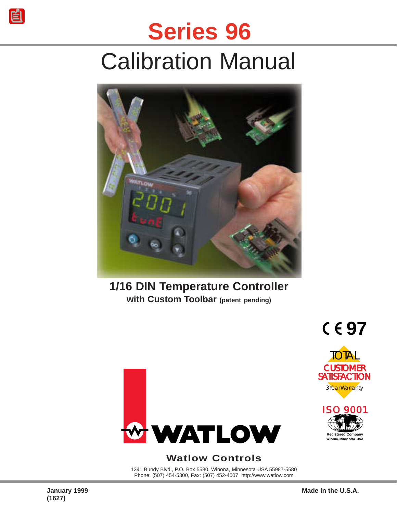# **Series 96**

# Calibration Manual



## **1/16 DIN Temperature Controller with Custom Toolbar (patent pending)**



### **Watlow Controls**

1241 Bundy Blvd., P.O. Box 5580, Winona, Minnesota USA 55987-5580 Phone: (507) 454-5300, Fax: (507) 452-4507 http://www.watlow.com

**Registered Company Winona, Minnesota USA**

ISO 9001

3 Year Warranty

**97**

**TOTAL** 

**CUSTOMER SATISFACTION**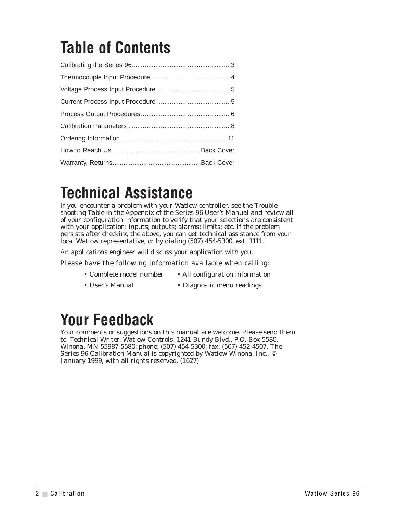## **Table of Contents**

## **Technical Assistance**

If you encounter a problem with your Watlow controller, see the Troubleshooting Table in the Appendix of the Series 96 User's Manual and review all of your configuration information to verify that your selections are consistent with your application: inputs; outputs; alarms; limits; etc. If the problem persists after checking the above, you can get technical assistance from your local Watlow representative, or by dialing (507) 454-5300, ext. 1111.

An applications engineer will discuss your application with you.

Please have the following information available when calling:

- Complete model number All configuration information
- User's Manual Diagnostic menu readings

## **Your Feedback**

Your comments or suggestions on this manual are welcome. Please send them to: Technical Writer, Watlow Controls, 1241 Bundy Blvd., P.O. Box 5580, Winona, MN 55987-5580; phone: (507) 454-5300; fax: (507) 452-4507. The Series 96 Calibration Manual is copyrighted by Watlow Winona, Inc., © January 1999, with all rights reserved. (1627)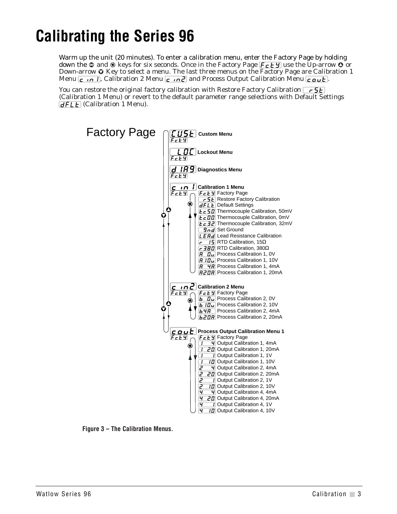## <span id="page-2-0"></span>**Calibrating the Series 96**

Warm up the unit (20 minutes). To enter a calibration menu, enter the Factory Page by holding down the  $\odot$  and  $\odot$  keys for six seconds. Once in the Factory Page  $\sqrt{F_{c}F_{g}}$  use the Up-arrow  $\odot$  or Down-arrow  $\odot$  Key to select a menu. The last three menus on the Factory Page are Calibration 1 Menu  $\epsilon$  in 1, Calibration 2 Menu  $\epsilon$  in  $\epsilon$  and Process Output Calibration Menu  $\epsilon$  out.

You can restore the original factory calibration with Restore Factory Calibration  $\lceil \frac{c}{\zeta} \rceil$ (Calibration 1 Menu) or revert to the default parameter range selections with Default Settings  $\overline{dFLE}$  (Calibration 1 Menu).



**Figure 3 – The Calibration Menus.**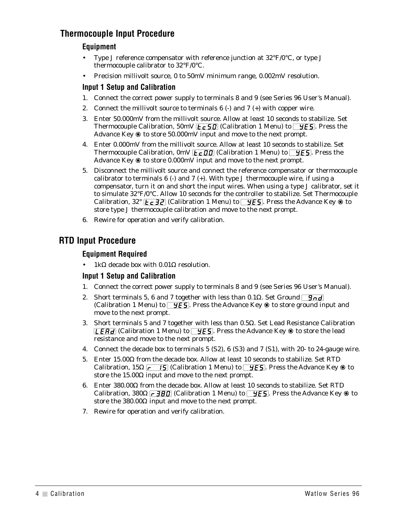### <span id="page-3-0"></span>**Thermocouple Input Procedure**

#### **Equipment**

- Type J reference compensator with reference junction at  $32^{\circ}F/0^{\circ}C$ , or type J thermocouple calibrator to 32°F/0°C.
- Precision millivolt source, 0 to 50mV minimum range, 0.002mV resolution.

#### **Input 1 Setup and Calibration**

- 1. Connect the correct power supply to terminals 8 and 9 (see Series 96 User's Manual).
- 2. Connect the millivolt source to terminals  $6$  (-) and  $7$  (+) with copper wire.
- 3. Enter 50.000mV from the millivolt source. Allow at least 10 seconds to stabilize. Set Thermocouple Calibration, 50mV  $\sqrt{c_5}$  (Calibration 1 Menu) to  $\sqrt{y_5}$ . Press the Advance Key  $\circledast$  to store 50.000mV input and move to the next prompt.
- 4. Enter 0.000mV from the millivolt source. Allow at least 10 seconds to stabilize. Set Thermocouple Calibration,  $0mV$   $\epsilon$   $\epsilon$  00 (Calibration 1 Menu) to  $\epsilon$  9 $\epsilon$ 5. Press the Advance Key  $\circledast$  to store 0.000mV input and move to the next prompt.
- 5. Disconnect the millivolt source and connect the reference compensator or thermocouple calibrator to terminals  $6$  (-) and  $7$  (+). With type J thermocouple wire, if using a compensator, turn it on and short the input wires. When using a type J calibrator, set it to simulate 32°F/0°C. Allow 10 seconds for the controller to stabilize. Set Thermocouple Calibration,  $32^{\circ}$  [ $\epsilon$   $\tau$   $\bar{z}$ ] (Calibration 1 Menu) to  $\bar{z}$   $\bar{z}$  Press the Advance Key  $\circledast$  to store type J thermocouple calibration and move to the next prompt.
- 6. Rewire for operation and verify calibration.

### **RTD Input Procedure**

#### **Equipment Required**

1kΩ decade box with  $0.01Ω$  resolution.

#### **Input 1 Setup and Calibration**

- 1. Connect the correct power supply to terminals 8 and 9 (see Series 96 User's Manual).
- 2. Short terminals 5, 6 and 7 together with less than 0.1 $\Omega$ . Set Ground  $\boxed{9 \circ d}$ (Calibration 1 Menu) to  $\sqrt{y \epsilon}$ . Press the Advance Key  $\circledast$  to store ground input and move to the next prompt.
- 3. Short terminals 5 and 7 together with less than 0.5Ω. Set Lead Resistance Calibration **[LEAd]** (Calibration 1 Menu) to  $\overline{YES}$ . Press the Advance Key  $\circledast$  to store the lead resistance and move to the next prompt.
- 4. Connect the decade box to terminals 5 (S2), 6 (S3) and 7 (S1), with 20- to 24-gauge wire.
- 5. Enter 15.00Ω from the decade box. Allow at least 10 seconds to stabilize. Set RTD Calibration, 15Ω  $\boxed{r-15}$  (Calibration 1 Menu) to  $\boxed{95}$ . Press the Advance Key  $\circledast$  to store the  $15.00\Omega$  input and move to the next prompt.
- 6. Enter 380.00Ω from the decade box. Allow at least 10 seconds to stabilize. Set RTD Calibration, 380Ω  $\lceil r \rceil$   $\lceil$   $\lceil$   $\lceil$   $\lceil$   $\lceil$   $\lceil$   $\lceil$   $\lceil$   $\lceil$   $\lceil$   $\lceil$   $\lceil$   $\lceil$   $\lceil$   $\lceil$   $\lceil$   $\lceil$   $\lceil$   $\lceil$   $\lceil$   $\lceil$   $\lceil$   $\lceil$   $\lceil$   $\lceil$   $\lceil$   $\lceil$   $\lceil$   $\lceil$   $\lceil$   $\lceil$   $\lceil$  store the 380.00Ω input and move to the next prompt.
- 7. Rewire for operation and verify calibration.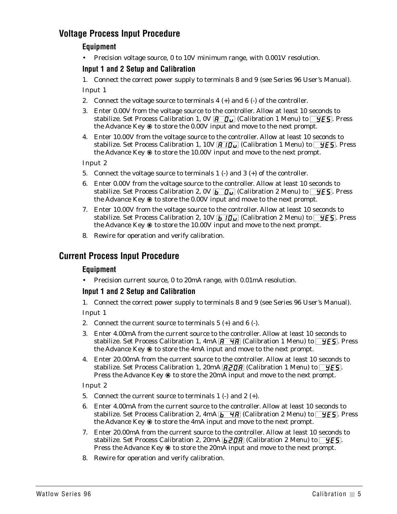### <span id="page-4-0"></span>**Voltage Process Input Procedure**

#### **Equipment**

• Precision voltage source, 0 to 10V minimum range, with 0.001V resolution.

#### **Input 1 and 2 Setup and Calibration**

1. Connect the correct power supply to terminals 8 and 9 (see Series 96 User's Manual). Input 1

- 2. Connect the voltage source to terminals  $4 (+)$  and  $6 (-)$  of the controller.
- 3. Enter 0.00V from the voltage source to the controller. Allow at least 10 seconds to stabilize. Set Process Calibration 1, 0V  $\overline{R}$   $\overline{O}_U$  (Calibration 1 Menu) to  $\overline{YES}$ . Press the Advance Key  $\circledast$  to store the 0.00V input and move to the next prompt.
- 4. Enter 10.00V from the voltage source to the controller. Allow at least 10 seconds to stabilize. Set Process Calibration 1, 10V  $\overline{H}$  10u (Calibration 1 Menu) to  $\overline{V}$ ES. Press the Advance Key  $\circledast$  to store the 10.00V input and move to the next prompt.

Input 2

- 5. Connect the voltage source to terminals 1 (-) and 3 (+) of the controller.
- 6. Enter 0.00V from the voltage source to the controller. Allow at least 10 seconds to stabilize. Set Process Calibration 2,  $0V_b\bar{b}$   $\bar{u}$  (Calibration 2 Menu) to  $\bar{y}$ ES. Press the Advance Key  $\circledast$  to store the 0.00V input and move to the next prompt.
- 7. Enter 10.00V from the voltage source to the controller. Allow at least 10 seconds to stabilize. Set Process Calibration 2, 10V  $\overline{b}$  if  $\overline{u}$  (Calibration 2 Menu) to  $\overline{y}$ ES. Press the Advance Key  $\circledast$  to store the 10.00V input and move to the next prompt.
- 8. Rewire for operation and verify calibration.

#### **Current Process Input Procedure**

#### **Equipment**

• Precision current source, 0 to 20mA range, with 0.01mA resolution.

#### **Input 1 and 2 Setup and Calibration**

1. Connect the correct power supply to terminals 8 and 9 (see Series 96 User's Manual).

Input 1

- 2. Connect the current source to terminals 5 (+) and 6 (-).
- 3. Enter 4.00mA from the current source to the controller. Allow at least 10 seconds to stabilize. Set Process Calibration 1,  $4mA$   $\overline{A}$   $\overline{A}$  (Calibration 1 Menu) to  $\overline{YES}$ . Press the Advance Key  $\circledast$  to store the 4mA input and move to the next prompt.
- 4. Enter 20.00mA from the current source to the controller. Allow at least 10 seconds to stabilize. Set Process Calibration 1, 20mA  $\sqrt{BZ\overline{B}}$  (Calibration 1 Menu) to  $\sqrt{YES}$ . Press the Advance Key  $\circledast$  to store the 20mA input and move to the next prompt.

Input 2

- 5. Connect the current source to terminals 1 (-) and 2 (+).
- 6. Enter 4.00mA from the current source to the controller. Allow at least 10 seconds to stabilize. Set Process Calibration 2, 4mA  $\sqrt{b\ 4A}$  (Calibration 2 Menu) to  $\sqrt{yES}$ . Press the Advance Key  $\circledast$  to store the 4mA input and move to the next prompt.
- 7. Enter 20.00mA from the current source to the controller. Allow at least 10 seconds to stabilize. Set Process Calibration 2,  $20mA$   $b$   $\overline{PB}$  (Calibration 2 Menu) to  $\overline{Y}$   $\overline{F}$ . Press the Advance Key  $\circledast$  to store the 20mA input and move to the next prompt.
- 8. Rewire for operation and verify calibration.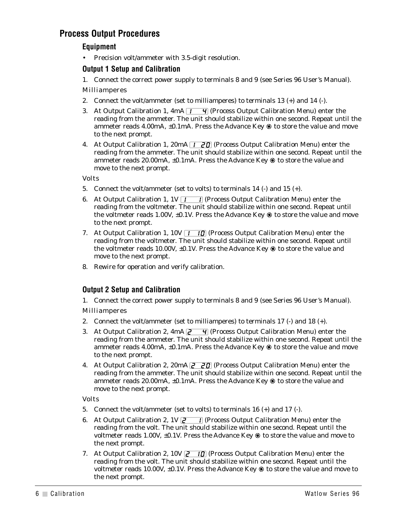### <span id="page-5-0"></span>**Process Output Procedures**

#### **Equipment**

• Precision volt/ammeter with 3.5-digit resolution.

#### **Output 1 Setup and Calibration**

1. Connect the correct power supply to terminals 8 and 9 (see Series 96 User's Manual).

#### Milliamperes

- 2. Connect the volt/ammeter (set to milliamperes) to terminals  $13 (+)$  and  $14 (-)$ .
- 3. At Output Calibration 1,  $4mA$  [ $\overline{1\}\overline{4}$ ] (Process Output Calibration Menu) enter the reading from the ammeter. The unit should stabilize within one second. Repeat until the ammeter reads 4.00mA, ±0.1mA. Press the Advance Key ‰ to store the value and move to the next prompt.
- 4. At Output Calibration 1, 20mA  $\boxed{1\quad$  20] (Process Output Calibration Menu) enter the reading from the ammeter. The unit should stabilize within one second. Repeat until the ammeter reads 20.00mA, ±0.1mA. Press the Advance Key ‰ to store the value and move to the next prompt.

Volts

- 5. Connect the volt/ammeter (set to volts) to terminals 14 (-) and 15 (+).
- 6. At Output Calibration 1,  $1V$   $\boxed{1}$  (Process Output Calibration Menu) enter the reading from the voltmeter. The unit should stabilize within one second. Repeat until the voltmeter reads 1.00V,  $\pm 0.1$ V. Press the Advance Key  $\circledast$  to store the value and move to the next prompt.
- 7. At Output Calibration 1,  $10V$   $\overline{1\cdot10}$  (Process Output Calibration Menu) enter the reading from the voltmeter. The unit should stabilize within one second. Repeat until the voltmeter reads 10.00V,  $\pm 0.1$ V. Press the Advance Key  $\circledast$  to store the value and move to the next prompt.
- 8. Rewire for operation and verify calibration.

#### **Output 2 Setup and Calibration**

1. Connect the correct power supply to terminals 8 and 9 (see Series 96 User's Manual).

Milliamperes

- 2. Connect the volt/ammeter (set to milliamperes) to terminals 17 (-) and 18 (+).
- 3. At Output Calibration 2,  $4mA$   $\sqrt{2\sqrt{4}}$  (Process Output Calibration Menu) enter the reading from the ammeter. The unit should stabilize within one second. Repeat until the ammeter reads 4.00mA,  $\pm 0.1$ mA. Press the Advance Key  $\circledast$  to store the value and move to the next prompt.
- 4. At Output Calibration 2, 20mA  $\sqrt{2}$   $\sqrt{2}$  (Process Output Calibration Menu) enter the reading from the ammeter. The unit should stabilize within one second. Repeat until the ammeter reads 20.00mA,  $\pm 0.1$ mA. Press the Advance Key  $\circledast$  to store the value and move to the next prompt.

Volts

- 5. Connect the volt/ammeter (set to volts) to terminals 16 (+) and 17 (-).
- 6. At Output Calibration 2, 1V  $\overline{Z}$  (Process Output Calibration Menu) enter the reading from the volt. The unit should stabilize within one second. Repeat until the voltmeter reads 1.00V,  $\pm$ 0.1V. Press the Advance Key  $\circledast$  to store the value and move to the next prompt.
- 7. At Output Calibration 2, 10V  $\overline{Z}$  10 (Process Output Calibration Menu) enter the reading from the volt. The unit should stabilize within one second. Repeat until the voltmeter reads 10.00V,  $\pm 0.1$ V. Press the Advance Key  $\circledast$  to store the value and move to the next prompt.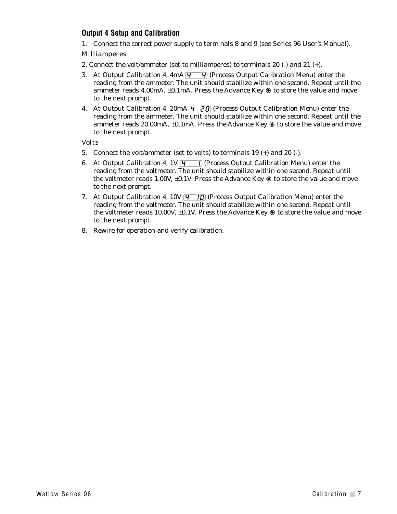#### **Output 4 Setup and Calibration**

1. Connect the correct power supply to terminals 8 and 9 (see Series 96 User's Manual).

#### Milliamperes

- 2. Connect the volt/ammeter (set to milliamperes) to terminals 20 (-) and 21 (+).
- 3. At Output Calibration 4,  $4mA$   $\overline{4}$   $\overline{4}$  (Process Output Calibration Menu) enter the reading from the ammeter. The unit should stabilize within one second. Repeat until the ammeter reads 4.00mA, ±0.1mA. Press the Advance Key ‰ to store the value and move to the next prompt.
- 4. At Output Calibration 4, 20mA  $\overline{q}$  20 (Process Output Calibration Menu) enter the reading from the ammeter. The unit should stabilize within one second. Repeat until the ammeter reads 20.00mA, ±0.1mA. Press the Advance Key ‰ to store the value and move to the next prompt.

Volts

- 5. Connect the volt/ammeter (set to volts) to terminals 19 (+) and 20 (-).
- 6. At Output Calibration 4,  $1V\overline{q}$  (Process Output Calibration Menu) enter the reading from the voltmeter. The unit should stabilize within one second. Repeat until the voltmeter reads 1.00V,  $\pm 0.1$ V. Press the Advance Key  $\circledast$  to store the value and move to the next prompt.
- 7. At Output Calibration 4, 10V  $\overline{q}$  in (Process Output Calibration Menu) enter the reading from the voltmeter. The unit should stabilize within one second. Repeat until the voltmeter reads 10.00V,  $\pm 0.1$ V. Press the Advance Key  $\circledast$  to store the value and move to the next prompt.
- 8. Rewire for operation and verify calibration.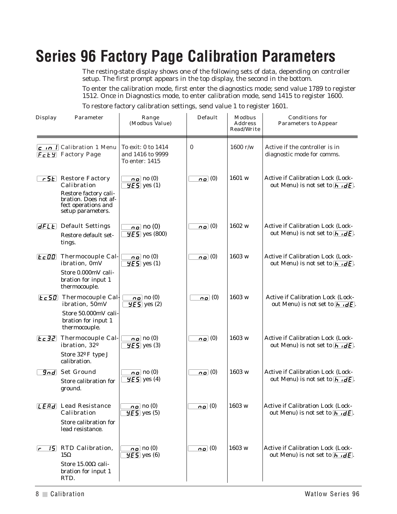## <span id="page-7-0"></span>**Series 96 Factory Page Calibration Parameters**

The resting-state display shows one of the following sets of data, depending on controller setup. The first prompt appears in the top display, the second in the bottom.

To enter the calibration mode, first enter the diagnostics mode; send value 1789 to register 1512. Once in Diagnostics mode, to enter calibration mode, send 1415 to register 1600.

To restore factory calibration settings, send value 1 to register 1601.

| Display        | Parameter                                                                                                                               | Range<br>(Modbus Value)                                  | Default                     | Modbus<br>Address<br>Read/Write | Conditions for<br>Parameters to Appear                                                        |
|----------------|-----------------------------------------------------------------------------------------------------------------------------------------|----------------------------------------------------------|-----------------------------|---------------------------------|-----------------------------------------------------------------------------------------------|
|                | $\boxed{\mathsf{c}}$ in $\boxed{\mathsf{I}}$ Calibration 1 Menu<br>$FcE$ Factory Page                                                   | To exit: 0 to 1414<br>and 1416 to 9999<br>To enter: 1415 | $\bf{0}$                    | $1600$ r/w                      | Active if the controller is in<br>diagnostic mode for comms.                                  |
|                | <b>F5E</b> Restore Factory<br>Calibration<br>Restore factory cali-<br>bration. Does not af-<br>fect operations and<br>setup parameters. | $\overline{0}$ no (0)<br>$\overline{9E5}$ yes (1)        | $\overline{\mathbf{0}}$ (0) | 1601 w                          | Active if Calibration Lock (Lock-<br>out Menu) is not set to $\overline{h \cdot dE}$ .        |
|                | <b>dFLE</b> Default Settings<br>Restore default set-<br>tings.                                                                          | $\overline{no}$ no (0)<br>$\overline{5}$ yes (800)       | $\overline{p}$ (0)          | 1602 w                          | Active if Calibration Lock (Lock-<br>out Menu) is not set to $\overline{h \cdot dE}$ .        |
| $E \subset 00$ | Thermocouple Cal-<br>ibration, 0mV<br>Store 0.000mV cali-<br>bration for input 1<br>thermocouple.                                       | $\overline{0}$ no (0)<br>$\overline{9E5}$ yes (1)        | $\overline{0}$ (0)          | 1603 w                          | Active if Calibration Lock (Lock-<br>out Menu) is not set to $\overline{h \cdot dE}$ .        |
|                | <b>Ec50</b> Thermocouple Cal-<br>ibration, 50mV<br>Store 50.000mV cali-<br>bration for input 1<br>thermocouple.                         | $\overline{np}$ no (0)<br>$\overline{5}$ yes (2)         | $\overline{0}$ (0)          | 1603 w                          | <b>Active if Calibration Lock (Lock-</b><br>out Menu) is not set to $\overline{h \cdot dE}$ . |
| $Ec$ 32        | Thermocouple Cal-<br>ibration, 32 <sup>°</sup><br>Store 32 <sup>°</sup> F type J<br>calibration.                                        | $\overline{0}$ no (0)<br>$\overline{5}$ yes (3)          | $\overline{0}$ (0)          | 1603 w                          | Active if Calibration Lock (Lock-<br>out Menu) is not set to $\overline{h \cdot dE}$ .        |
| $9$ nd         | Set Ground<br>Store calibration for<br>ground.                                                                                          | $\overline{np}$ no (0)<br>$\overline{5}$ yes (4)         | $\overline{0}$ (0)          | 1603 w                          | Active if Calibration Lock (Lock-<br>out Menu) is not set to $\overline{h \cdot dE}$ .        |
|                | <b>LEAD</b> Lead Resistance<br>Calibration<br>Store calibration for<br>lead resistance.                                                 | $\boxed{\mathbf{no}}$ no (0)<br>$9E5$ yes (5)            | $\overline{0}$ (0)          | 1603 w                          | Active if Calibration Lock (Lock-<br>out Menu) is not set to $\overline{h \cdot dE}$ .        |
| $\sqrt{2}$     | <b>15</b> RTD Calibration,<br>$15\Omega$<br>Store 15.00Ω cali-<br>bration for input 1<br>RTD.                                           | $\overline{0}$ no (0)<br>$\overline{5}$ yes (6)          | $\overline{0}$ (0)          | 1603 w                          | Active if Calibration Lock (Lock-<br>out Menu) is not set to $\overline{h \cdot dE}$ .        |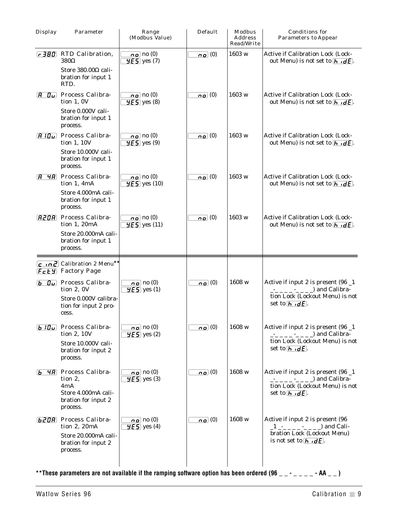|                |                                                                                                             |                                                                 |                             | Address<br>Read/Write | Parameters to Appear                                                                                                                                                                     |
|----------------|-------------------------------------------------------------------------------------------------------------|-----------------------------------------------------------------|-----------------------------|-----------------------|------------------------------------------------------------------------------------------------------------------------------------------------------------------------------------------|
| $-380$         | RTD Calibration,<br>380Ω<br>Store 380.00 $\Omega$ cali-                                                     | $\overline{np}$ no (0)<br>$\overline{9E5}$ yes (7)              | $\overline{p}$ (0)          | 1603 w                | Active if Calibration Lock (Lock-<br>out Menu) is not set to $\overline{h \cdot dE}$ .                                                                                                   |
|                | bration for input 1<br>RTD.                                                                                 |                                                                 |                             |                       |                                                                                                                                                                                          |
| R.<br>$\bm{D}$ | Process Calibra-<br>tion 1, 0V<br>Store 0.000V cali-                                                        | $\overline{np}$ no (0)<br>$9E5$ yes (8)                         | $\overline{p}$ (0)          | 1603 w                | Active if Calibration Lock (Lock-<br>out Menu) is not set to $\overline{h \cdot dE}$ .                                                                                                   |
|                | bration for input 1<br>process.                                                                             |                                                                 |                             |                       |                                                                                                                                                                                          |
| BIO            | Process Calibra-<br>tion 1, 10V                                                                             | $\boxed{\mathbf{p} \bullet}$ no (0)<br>$965$ yes (9)            | $\overline{\mathbf{0}}$ (0) | 1603 w                | <b>Active if Calibration Lock (Lock-</b><br>out Menu) is not set to $\vec{h} \cdot d\vec{\epsilon}$ .                                                                                    |
|                | Store 10.000V cali-<br>bration for input 1<br>process.                                                      |                                                                 |                             |                       |                                                                                                                                                                                          |
| R              | 4A Process Calibra-<br>tion 1, 4mA                                                                          | $\overline{np}$ no (0)<br>$\overline{5}$ yes (10)               | $\overline{\mathbf{0}}$ (0) | 1603 w                | <b>Active if Calibration Lock (Lock-</b><br>out Menu) is not set to $\overline{h \cdot dE}$ .                                                                                            |
|                | Store 4.000mA cali-<br>bration for input 1<br>process.                                                      |                                                                 |                             |                       |                                                                                                                                                                                          |
| <b>R20R</b>    | Process Calibra-<br>tion 1, 20mA                                                                            | $\overline{np}$ no (0)<br>$\overline{5}$ yes (11)               | $\overline{\mathbf{p}}$ (0) | 1603 w                | Active if Calibration Lock (Lock-<br>out Menu) is not set to $\overline{h \cdot dE}$ .                                                                                                   |
|                | Store 20.000mA cali-<br>bration for input 1<br>process.                                                     |                                                                 |                             |                       |                                                                                                                                                                                          |
|                | $\boxed{c \cdot n}$ Calibration 2 Menu**<br><b>FcEY</b> Factory Page                                        |                                                                 |                             |                       |                                                                                                                                                                                          |
|                | <b>b</b> Ou Process Calibra-<br>tion 2, 0V                                                                  | $\boxed{0}$ no (0)<br>$\overline{5}$ yes (1)                    | $\overline{p}$ (0)          | 1608 w                | Active if input 2 is present (96 _1<br>) and Calibra-<br>tion Lock (Lockout Menu) is not                                                                                                 |
|                | Store 0.000V calibra-<br>tion for input 2 pro-<br>cess.                                                     |                                                                 |                             |                       | set to $\overline{h \cdot dE}$ .                                                                                                                                                         |
|                | <b>b</b> ID <sub>u</sub> Process Calibra-<br>tion 2, 10V                                                    | $\overline{np}$ no (0)<br>$\overline{5}$ yes (2)                | $n_{\mathcal{Q}}(0)$        | 1608 w                | Active if input 2 is present (96 _1<br>$\frac{1}{2}$ = $\frac{1}{2}$ = $\frac{1}{2}$ = $\frac{1}{2}$ and Calibra-                                                                        |
|                | Store 10.000V cali-<br>bration for input 2<br>process.                                                      |                                                                 |                             |                       | tion Lock (Lockout Menu) is not<br>set to $\overline{h \cdot dE}$ .                                                                                                                      |
|                | <b>b</b> 4A Process Calibra-<br>tion $2$ ,<br>4mA<br>Store 4.000mA cali-<br>bration for input 2<br>process. | $\boxed{\mathbf{n}\mathbf{o}}$ no (0)<br>$\overline{5}$ yes (3) | <u>no</u> (0)               | 1608 w                | Active if input 2 is present (96 _1<br>$\frac{1}{2}$ = $\frac{1}{2}$ = $\frac{1}{2}$ = $\frac{1}{2}$ and Calibra-<br>tion Lock (Lockout Menu) is not<br>set to $\overline{h \cdot dE}$ . |
|                | <b>b208</b> Process Calibra-<br>tion 2, 20mA                                                                | $\mathbf{p}$ no (0)<br>$\overline{5}$ yes (4)                   | $\overline{\mathbf{0}}$ (0) | 1608 w                | Active if input 2 is present (96                                                                                                                                                         |
|                | Store 20.000mA cali-<br>bration for input 2<br>process.                                                     |                                                                 |                             |                       | bration Lock (Lockout Menu)<br>is not set to $\left  \mathbf{h} \cdot \mathbf{d} \mathbf{E} \right $ .                                                                                   |

\*\*These parameters are not available if the ramping software option has been ordered (96  $\_\,\_\,\_\,\_\,\_\,\_$  -  $\_\,\_\,\_\,\_$  - AA  $\_\,\_\,)$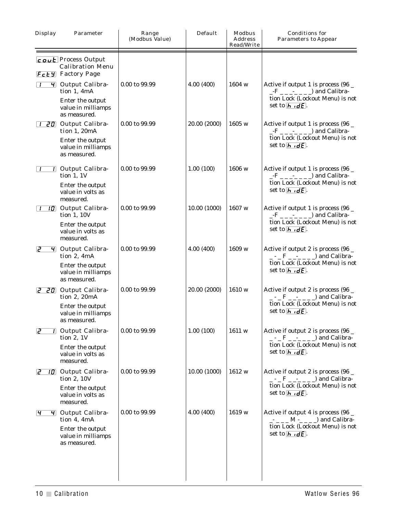| Display        | Parameter                                                                                               | Range<br>(Modbus Value) | Default      | Modbus<br>Address<br>Read/Write | Conditions for<br><b>Parameters to Appear</b>                                                                                                                                                       |
|----------------|---------------------------------------------------------------------------------------------------------|-------------------------|--------------|---------------------------------|-----------------------------------------------------------------------------------------------------------------------------------------------------------------------------------------------------|
|                | $\sqrt{c_0}$ Process Output<br><b>Calibration Menu</b><br><b>Fcty</b> Factory Page                      |                         |              |                                 |                                                                                                                                                                                                     |
|                | 4 Output Calibra-<br>tion 1, 4mA<br>Enter the output<br>value in milliamps<br>as measured.              | 0.00 to 99.99           | 4.00(400)    | 1604 w                          | Active if output 1 is process (96 _<br>$-F$ <sub>-----</sub> <sup>-----</sup> --- <sup>-</sup> and Calibra-<br>tion Lock (Lockout Menu) is not<br>set to $\overline{h \cdot dE}$ .                  |
| $\mathbf{I}$   | <b>20</b> Output Calibra-<br>tion 1, 20mA<br>Enter the output<br>value in milliamps<br>as measured.     | 0.00 to 99.99           | 20.00 (2000) | 1605 w                          | Active if output 1 is process (96 _<br>$-F$ <sub>-----</sub> <sup>-</sup> --- <sup>-</sup> --- <sup>-</sup> --- <sup>-</sup><br>tion Lock (Lockout Menu) is not<br>set to $\overline{h \cdot dE}$ . |
|                | 7 Output Calibra-<br>tion $1, 1V$<br>Enter the output<br>value in volts as<br>measured.                 | 0.00 to 99.99           | 1.00(100)    | 1606 w                          | Active if output 1 is process (96 _<br>$-F$ $-- \rightarrow$ $-- \rightarrow$ and Calibra-<br>tion Lock (Lockout Menu) is not<br>set to $\overline{h \cdot dE}$ .                                   |
| $\cdot$        | <b>10</b> Output Calibra-<br>tion 1, 10V<br>Enter the output<br>value in volts as<br>measured.          | 0.00 to 99.99           | 10.00 (1000) | $1607 \text{ w}$                | Active if output 1 is process (96 _<br>$-F$ $-- \Box$ and Calibra-<br>tion Lock (Lockout Menu) is not<br>set to $\overline{h \cdot dE}$ .                                                           |
| ၉              | $\overline{4}$ Output Calibra-<br>tion 2, 4mA<br>Enter the output<br>value in milliamps<br>as measured. | 0.00 to 99.99           | 4.00(400)    | 1609 w                          | Active if output 2 is process (96 _<br>$-$ - $-$ F $-$ - $    \Box$ and Calibra-<br>tion Lock (Lockout Menu) is not<br>set to $\overline{h \cdot dE}$ .                                             |
|                | <b>2 20</b> Output Calibra-<br>tion 2, 20mA<br>Enter the output<br>value in milliamps<br>as measured.   | 0.00 to 99.99           | 20.00 (2000) | 1610 w                          | Active if output 2 is process (96 $\_$<br>$-$ - $ \overline{F}$ $    \overline{F}$ and Calibra-<br>tion Lock (Lockout Menu) is not<br>set to $\overline{h \cdot dE}$ .                              |
| $\overline{c}$ | 7 Output Calibra-<br>tion $2, 1V$<br>Enter the output<br>value in volts as<br>measured.                 | 0.00 to 99.99           | 1.00(100)    | 1611 w                          | Active if output 2 is process (96 _<br>$-$ - $-$ F $-$ - $    \Box$ and Calibra-<br>tion Lock (Lockout Menu) is not<br>set to $\overline{h \cdot dE}$ .                                             |
| ہے             | <b>10</b> Output Calibra-<br>tion 2, 10V<br>Enter the output<br>value in volts as<br>measured.          | 0.00 to 99.99           | 10.00 (1000) | 1612 w                          | Active if output 2 is process (96 $\_$<br>$-$ - $-$ F $-$ - $    \Box$ and Calibra-<br>tion Lock (Lockout Menu) is not<br>set to $\overline{h \cdot dE}$ .                                          |
| <u>୍ୟ</u>      | $\overline{4}$ Output Calibra-<br>tion 4, 4mA<br>Enter the output<br>value in milliamps<br>as measured. | 0.00 to 99.99           | 4.00(400)    | 1619 w                          | Active if output 4 is process (96 _<br>$    M$ $    \Box$ and Calibra-<br>tion Lock (Lockout Menu) is not<br>set to $\overline{h \cdot dE}$ .                                                       |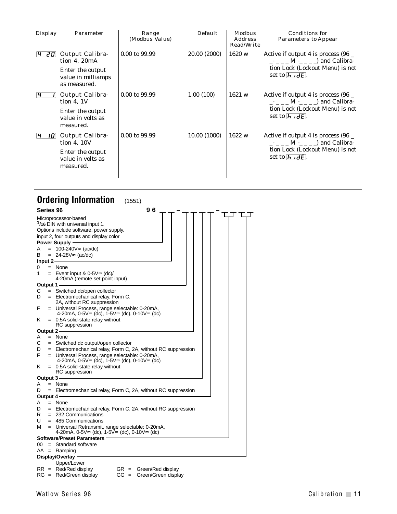<span id="page-10-0"></span>

| Display | Parameter                                                                                  | Range<br>(Modbus Value) | Default      | Modbus<br>Address<br>Read/Write | Conditions for<br>Parameters to Appear                                                                                                        |
|---------|--------------------------------------------------------------------------------------------|-------------------------|--------------|---------------------------------|-----------------------------------------------------------------------------------------------------------------------------------------------|
| 201     | Output Calibra-<br>tion $4.20mA$<br>Enter the output<br>value in milliamps<br>as measured. | 0.00 to 99.99           | 20.00 (2000) | 1620 w                          | Active if output 4 is process $(96 -$<br>$    M$ $     )$ and Calibra-<br>tion Lock (Lockout Menu) is not<br>set to $\overline{h \cdot dE}$ . |
|         | Output Calibra-<br>tion $4.1V$<br>Enter the output<br>value in volts as<br>measured.       | 0.00 to 99.99           | 1.00(100)    | 1621 w                          | Active if output 4 is process $(96 -$<br>$    M$ $    )$ and Calibra-<br>tion Lock (Lockout Menu) is not<br>set to $\overline{h \cdot dE}$ .  |
| 101     | Output Calibra-<br>tion $4, 10V$<br>Enter the output<br>value in volts as<br>measured.     | 0.00 to 99.99           | 10.00 (1000) | 1622 w                          | Active if output 4 is process $(96 -$<br>$    M$ $    )$ and Calibra-<br>tion Lock (Lockout Menu) is not<br>set to $\overline{h \cdot dE}$ .  |

|             |     | <b>Ordering Information</b><br>(1551)                                                                                                          |
|-------------|-----|------------------------------------------------------------------------------------------------------------------------------------------------|
| Series 96   |     | 96                                                                                                                                             |
|             |     | Microprocessor-based<br>1/16 DIN with universal input 1.<br>Options include software, power supply,<br>input 2, four outputs and display color |
| Α           |     | <b>Power Supply</b><br>= $100-240V \approx (ac/dc)$                                                                                            |
| в           |     | = $24 - 28V = (ac/dc)$                                                                                                                         |
| Input $2 -$ |     |                                                                                                                                                |
| 0           | $=$ | None                                                                                                                                           |
| 1           |     | $=$ Event input & 0-5V $=$ (dc)/<br>4-20mA (remote set point input)                                                                            |
| Output 1    |     |                                                                                                                                                |
| С           |     | $=$ Switched dc/open collector                                                                                                                 |
| D           |     | = Electromechanical relay, Form C,                                                                                                             |
| F           |     | 2A, without RC suppression<br>= Universal Process, range selectable: 0-20mA,<br>4-20mA, $0-5V = (dc)$ , $1-5V = (dc)$ , $0-10V = (dc)$         |
| Κ           |     | $=$ 0.5A solid-state relay without<br><b>RC</b> suppression                                                                                    |
| Output 2 -  |     |                                                                                                                                                |
| A           |     | = None                                                                                                                                         |
| С           |     | $=$ Switched dc output/open collector                                                                                                          |
| D           |     | = Electromechanical relay, Form C, 2A, without RC suppression                                                                                  |
| F           |     | = Universal Process, range selectable: 0-20mA,<br>4-20mA, $0.5V = (dc)$ , $1.5V = (dc)$ , $0.10V = (dc)$                                       |
| Κ           |     | $=$ 0.5A solid-state relay without<br><b>RC</b> suppression                                                                                    |
| Output 3-   |     |                                                                                                                                                |
| A           |     | = None                                                                                                                                         |
| D           | $=$ | Electromechanical relay, Form C, 2A, without RC suppression                                                                                    |
| Output 4    |     |                                                                                                                                                |
| A           |     | $=$ None                                                                                                                                       |
| D           |     | = Electromechanical relay, Form C, 2A, without RC suppression                                                                                  |
| R           |     | $= 232$ Communications                                                                                                                         |
| U           |     | $=$ 485 Communications                                                                                                                         |
| м           |     | = Universal Retransmit, range selectable: 0-20mA,<br>4-20mA, $0.5V = (dc)$ , $1.5V = (dc)$ , $0.10V = (dc)$                                    |
|             |     | <b>Software/Preset Parameters</b>                                                                                                              |
| 00          | $=$ | Standard software                                                                                                                              |
|             |     | $AA =$ Ramping<br>Display/Overlay ·                                                                                                            |
|             |     | Upper/Lower                                                                                                                                    |
|             |     | $RR = Red/Red$ display<br>$GR = Green/Red display$                                                                                             |
|             |     |                                                                                                                                                |

|  | $111 = 1100/1100$ upplay | $\frac{1}{2}$ = $\frac{1}{2}$ order <i>i</i> red display |
|--|--------------------------|----------------------------------------------------------|
|  | $RG = Red/Green display$ | GG = Green/Green display                                 |